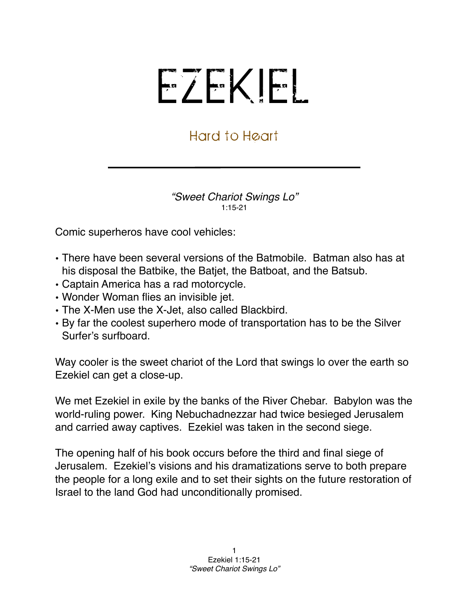## EZEKIEL

## Hard to Heart

*"Sweet Chariot Swings Lo"* 1:15-21

Comic superheros have cool vehicles:

- There have been several versions of the Batmobile. Batman also has at his disposal the Batbike, the Batjet, the Batboat, and the Batsub.
- Captain America has a rad motorcycle.
- Wonder Woman flies an invisible jet.
- The X-Men use the X-Jet, also called Blackbird.
- By far the coolest superhero mode of transportation has to be the Silver Surfer's surfboard.

Way cooler is the sweet chariot of the Lord that swings lo over the earth so Ezekiel can get a close-up.

We met Ezekiel in exile by the banks of the River Chebar. Babylon was the world-ruling power. King Nebuchadnezzar had twice besieged Jerusalem and carried away captives. Ezekiel was taken in the second siege.

The opening half of his book occurs before the third and final siege of Jerusalem. Ezekiel's visions and his dramatizations serve to both prepare the people for a long exile and to set their sights on the future restoration of Israel to the land God had unconditionally promised.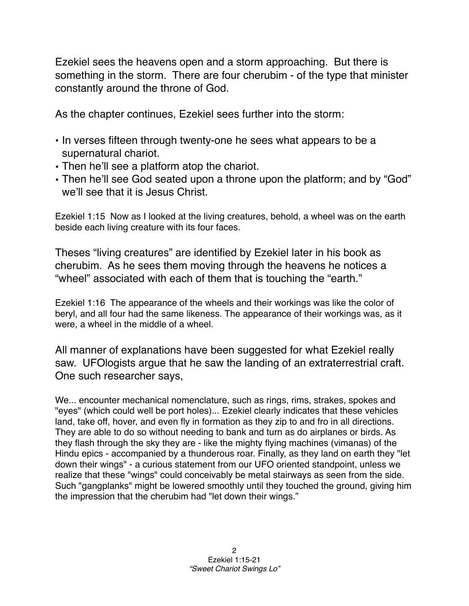Ezekiel sees the heavens open and a storm approaching. But there is something in the storm. There are four cherubim - of the type that minister constantly around the throne of God.

As the chapter continues, Ezekiel sees further into the storm:

- In verses fifteen through twenty-one he sees what appears to be a supernatural chariot.
- Then he'll see a platform atop the chariot.
- Then he'll see God seated upon a throne upon the platform; and by "God" we'll see that it is Jesus Christ.

Ezekiel 1:15 Now as I looked at the living creatures, behold, a wheel was on the earth beside each living creature with its four faces.

Theses "living creatures" are identified by Ezekiel later in his book as cherubim. As he sees them moving through the heavens he notices a "wheel" associated with each of them that is touching the "earth."

Ezekiel 1:16 The appearance of the wheels and their workings was like the color of beryl, and all four had the same likeness. The appearance of their workings was, as it were, a wheel in the middle of a wheel.

All manner of explanations have been suggested for what Ezekiel really saw. UFOlogists argue that he saw the landing of an extraterrestrial craft. One such researcher says,

We... encounter mechanical nomenclature, such as rings, rims, strakes, spokes and "eyes" (which could well be port holes)... Ezekiel clearly indicates that these vehicles land, take off, hover, and even fly in formation as they zip to and fro in all directions. They are able to do so without needing to bank and turn as do airplanes or birds. As they flash through the sky they are - like the mighty flying machines (vimanas) of the Hindu epics - accompanied by a thunderous roar. Finally, as they land on earth they "let down their wings" - a curious statement from our UFO oriented standpoint, unless we realize that these "wings" could conceivably be metal stairways as seen from the side. Such "gangplanks" might be lowered smoothly until they touched the ground, giving him the impression that the cherubim had "let down their wings."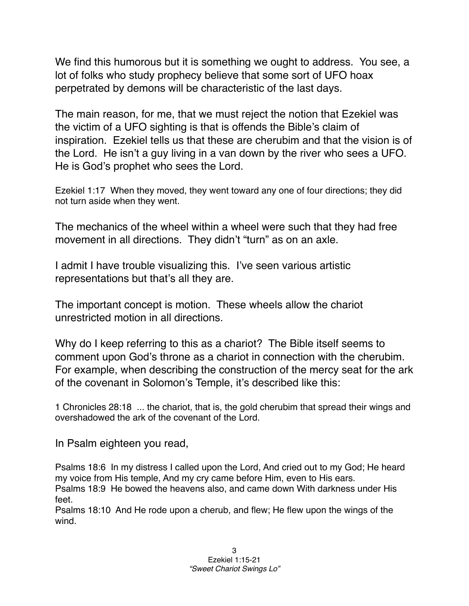We find this humorous but it is something we ought to address. You see, a lot of folks who study prophecy believe that some sort of UFO hoax perpetrated by demons will be characteristic of the last days.

The main reason, for me, that we must reject the notion that Ezekiel was the victim of a UFO sighting is that is offends the Bible's claim of inspiration. Ezekiel tells us that these are cherubim and that the vision is of the Lord. He isn't a guy living in a van down by the river who sees a UFO. He is God's prophet who sees the Lord.

Ezekiel 1:17 When they moved, they went toward any one of four directions; they did not turn aside when they went.

The mechanics of the wheel within a wheel were such that they had free movement in all directions. They didn't "turn" as on an axle.

I admit I have trouble visualizing this. I've seen various artistic representations but that's all they are.

The important concept is motion. These wheels allow the chariot unrestricted motion in all directions.

Why do I keep referring to this as a chariot? The Bible itself seems to comment upon God's throne as a chariot in connection with the cherubim. For example, when describing the construction of the mercy seat for the ark of the covenant in Solomon's Temple, it's described like this:

1 Chronicles 28:18 ... the chariot, that is, the gold cherubim that spread their wings and overshadowed the ark of the covenant of the Lord.

In Psalm eighteen you read,

Psalms 18:6 In my distress I called upon the Lord, And cried out to my God; He heard my voice from His temple, And my cry came before Him, even to His ears. Psalms 18:9 He bowed the heavens also, and came down With darkness under His feet.

Psalms 18:10 And He rode upon a cherub, and flew; He flew upon the wings of the wind.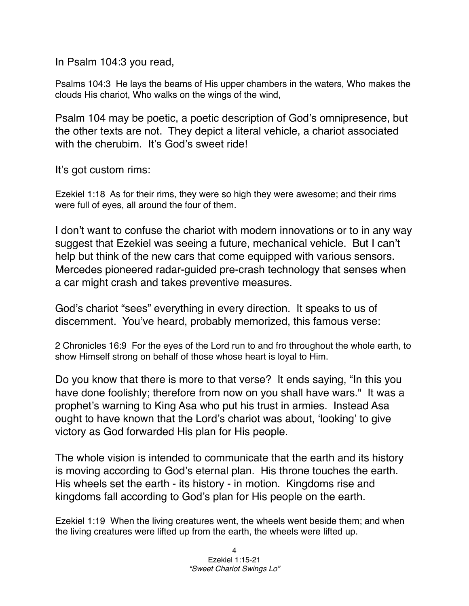In Psalm 104:3 you read,

Psalms 104:3 He lays the beams of His upper chambers in the waters, Who makes the clouds His chariot, Who walks on the wings of the wind,

Psalm 104 may be poetic, a poetic description of God's omnipresence, but the other texts are not. They depict a literal vehicle, a chariot associated with the cherubim. It's God's sweet ride!

It's got custom rims:

Ezekiel 1:18 As for their rims, they were so high they were awesome; and their rims were full of eyes, all around the four of them.

I don't want to confuse the chariot with modern innovations or to in any way suggest that Ezekiel was seeing a future, mechanical vehicle. But I can't help but think of the new cars that come equipped with various sensors. Mercedes pioneered radar-guided pre-crash technology that senses when a car might crash and takes preventive measures.

God's chariot "sees" everything in every direction. It speaks to us of discernment. You've heard, probably memorized, this famous verse:

2 Chronicles 16:9 For the eyes of the Lord run to and fro throughout the whole earth, to show Himself strong on behalf of those whose heart is loyal to Him.

Do you know that there is more to that verse? It ends saying, "In this you have done foolishly; therefore from now on you shall have wars." It was a prophet's warning to King Asa who put his trust in armies. Instead Asa ought to have known that the Lord's chariot was about, ʻlooking' to give victory as God forwarded His plan for His people.

The whole vision is intended to communicate that the earth and its history is moving according to God's eternal plan. His throne touches the earth. His wheels set the earth - its history - in motion. Kingdoms rise and kingdoms fall according to God's plan for His people on the earth.

Ezekiel 1:19 When the living creatures went, the wheels went beside them; and when the living creatures were lifted up from the earth, the wheels were lifted up.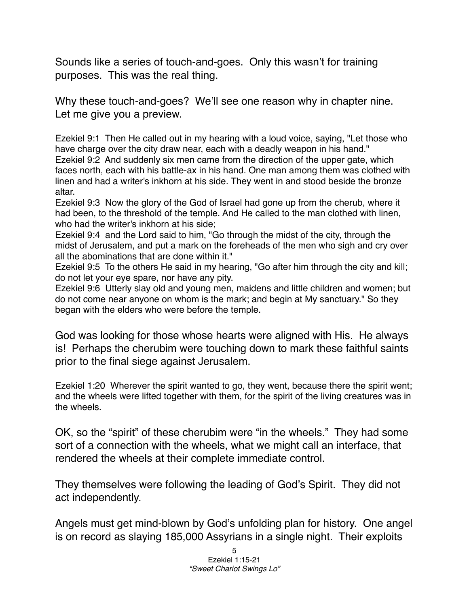Sounds like a series of touch-and-goes. Only this wasn't for training purposes. This was the real thing.

Why these touch-and-goes? We'll see one reason why in chapter nine. Let me give you a preview.

Ezekiel 9:1 Then He called out in my hearing with a loud voice, saying, "Let those who have charge over the city draw near, each with a deadly weapon in his hand." Ezekiel 9:2 And suddenly six men came from the direction of the upper gate, which faces north, each with his battle-ax in his hand. One man among them was clothed with linen and had a writer's inkhorn at his side. They went in and stood beside the bronze altar.

Ezekiel 9:3 Now the glory of the God of Israel had gone up from the cherub, where it had been, to the threshold of the temple. And He called to the man clothed with linen, who had the writer's inkhorn at his side;

Ezekiel 9:4 and the Lord said to him, "Go through the midst of the city, through the midst of Jerusalem, and put a mark on the foreheads of the men who sigh and cry over all the abominations that are done within it."

Ezekiel 9:5 To the others He said in my hearing, "Go after him through the city and kill; do not let your eye spare, nor have any pity.

Ezekiel 9:6 Utterly slay old and young men, maidens and little children and women; but do not come near anyone on whom is the mark; and begin at My sanctuary." So they began with the elders who were before the temple.

God was looking for those whose hearts were aligned with His. He always is! Perhaps the cherubim were touching down to mark these faithful saints prior to the final siege against Jerusalem.

Ezekiel 1:20 Wherever the spirit wanted to go, they went, because there the spirit went; and the wheels were lifted together with them, for the spirit of the living creatures was in the wheels.

OK, so the "spirit" of these cherubim were "in the wheels." They had some sort of a connection with the wheels, what we might call an interface, that rendered the wheels at their complete immediate control.

They themselves were following the leading of God's Spirit. They did not act independently.

Angels must get mind-blown by God's unfolding plan for history. One angel is on record as slaying 185,000 Assyrians in a single night. Their exploits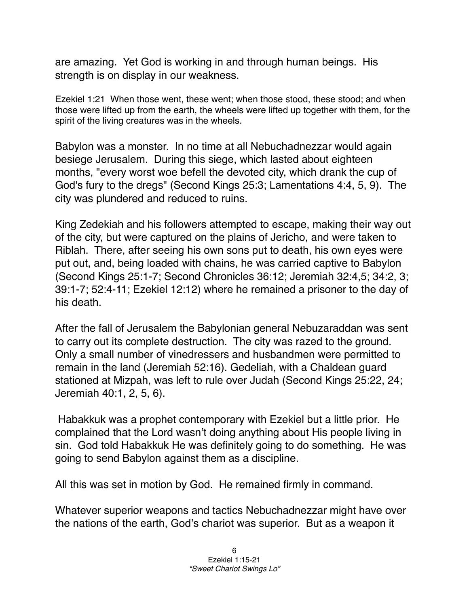are amazing. Yet God is working in and through human beings. His strength is on display in our weakness.

Ezekiel 1:21 When those went, these went; when those stood, these stood; and when those were lifted up from the earth, the wheels were lifted up together with them, for the spirit of the living creatures was in the wheels.

Babylon was a monster. In no time at all Nebuchadnezzar would again besiege Jerusalem. During this siege, which lasted about eighteen months, "every worst woe befell the devoted city, which drank the cup of God's fury to the dregs" (Second Kings 25:3; [Lamentations](http://en.wikipedia.org/wiki/Book_of_Lamentations) 4:4, 5, 9). The city was plundered and reduced to ruins.

King Zedekiah and his followers attempted to escape, making their way out of the city, but were captured on the plains of [Jericho,](http://en.wikipedia.org/wiki/Jericho) and were taken to [Riblah.](http://en.wikipedia.org/wiki/Riblah) There, after seeing his own sons put to death, his own eyes were put out, and, being loaded with chains, he was carried captive to [Babylon](http://en.wikipedia.org/wiki/Babylon) (Second Kings 25:1-7; Second Chronicles 36:12; [Jeremiah](http://en.wikipedia.org/wiki/Book_of_Jeremiah) 32:4,5; 34:2, 3; 39:1-7; 52:4-11; [Ezekiel](http://en.wikipedia.org/wiki/Book_of_Ezekiel) 12:12) where he remained a prisoner to the day of his death.

After the fall of Jerusalem the Babylonian general [Nebuzaraddan](http://en.wikipedia.org/w/index.php?title=Nebuzaraddan&action=edit&redlink=1) was sent to carry out its complete destruction. The city was razed to the ground. Only a small number of vinedressers and husbandmen were permitted to remain in the land (Jeremiah 52:16). Gedeliah, with a [Chaldean](http://en.wikipedia.org/wiki/Chaldea) guard stationed at [Mizpah](http://en.wikipedia.org/wiki/Mizpah_in_Benjamin), was left to rule over Judah (Second Kings 25:22, 24; Jeremiah 40:1, 2, 5, 6).

 Habakkuk was a prophet contemporary with Ezekiel but a little prior. He complained that the Lord wasn't doing anything about His people living in sin. God told Habakkuk He was definitely going to do something. He was going to send Babylon against them as a discipline.

All this was set in motion by God. He remained firmly in command.

Whatever superior weapons and tactics Nebuchadnezzar might have over the nations of the earth, God's chariot was superior. But as a weapon it